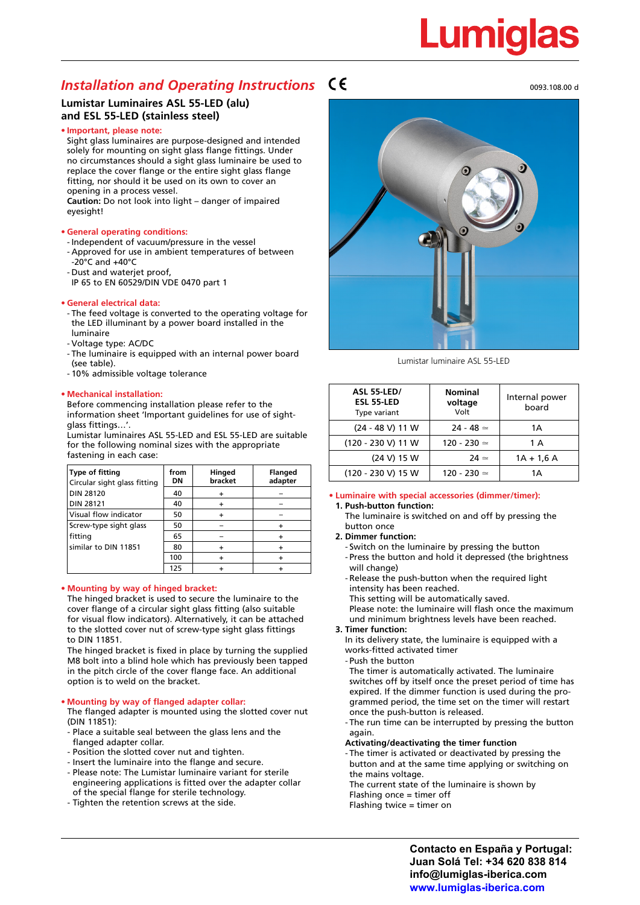# Lumial

### *Installation and Operating Instructions*

#### **Lumistar Luminaires ASL 55-LED (alu) and ESL 55-LED (stainless steel)**

#### **• Important, please note:**

Sight glass luminaires are purpose-designed and intended solely for mounting on sight glass flange fittings. Under no circumstances should a sight glass luminaire be used to replace the cover flange or the entire sight glass flange fitting, nor should it be used on its own to cover an opening in a process vessel.

**Caution:** Do not look into light – danger of impaired eyesight!

#### **• General operating conditions:**

- Independent of vacuum/pressure in the vessel
- Approved for use in ambient temperatures of between -20°C and +40°C
- Dust and waterjet proof,
- IP 65 to EN 60529/DIN VDE 0470 part 1

#### **• General electrical data:**

- The feed voltage is converted to the operating voltage for the LED illuminant by a power board installed in the luminaire
- Voltage type: AC/DC
- The luminaire is equipped with an internal power board (see table).
- 10% admissible voltage tolerance

#### **• Mechanical installation:**

Before commencing installation please refer to the information sheet 'Important guidelines for use of sightglass fittings…'.

Lumistar luminaires ASL 55-LED and ESL 55-LED are suitable for the following nominal sizes with the appropriate fastening in each case:

| Type of fitting<br>Circular sight glass fitting | from<br>DΝ | Hinged<br>bracket | <b>Flanged</b><br>adapter |
|-------------------------------------------------|------------|-------------------|---------------------------|
| <b>DIN 28120</b>                                | 40         |                   |                           |
| <b>DIN 28121</b>                                | 40         |                   |                           |
| Visual flow indicator                           | 50         |                   |                           |
| Screw-type sight glass                          | 50         |                   |                           |
| fitting                                         | 65         |                   |                           |
| similar to DIN 11851                            | 80         |                   |                           |
|                                                 | 100        |                   |                           |
|                                                 | 125        |                   |                           |

#### **• Mounting by way of hinged bracket:**

The hinged bracket is used to secure the luminaire to the cover flange of a circular sight glass fitting (also suitable for visual flow indicators). Alternatively, it can be attached to the slotted cover nut of screw-type sight glass fittings to DIN 11851.

The hinged bracket is fixed in place by turning the supplied M8 bolt into a blind hole which has previously been tapped in the pitch circle of the cover flange face. An additional option is to weld on the bracket.

#### **• Mounting by way of flanged adapter collar:**

The flanged adapter is mounted using the slotted cover nut (DIN 11851):

- Place a suitable seal between the glass lens and the flanged adapter collar.
- Position the slotted cover nut and tighten.
- Insert the luminaire into the flange and secure.
- Please note: The Lumistar luminaire variant for sterile engineering applications is fitted over the adapter collar of the special flange for sterile technology.
- Tighten the retention screws at the side.



Lumistar luminaire ASL 55-LED

| <b>ASL 55-LED/</b><br><b>ESL 55-LED</b><br>Type variant | <b>Nominal</b><br>voltage<br>Volt | Internal power<br>board |
|---------------------------------------------------------|-----------------------------------|-------------------------|
| $(24 - 48 V)$ 11 W                                      | $24 - 48 \approx$                 | 1А                      |
| (120 - 230 V) 11 W                                      | $120 - 230 =$                     | 1 A                     |
| (24 V) 15 W                                             | $24 \simeq$                       | $1A + 1.6A$             |
| (120 - 230 V) 15 W                                      | $120 - 230 =$                     | 1А                      |

#### **• Luminaire with special accessories (dimmer/timer): 1. Push-button function:**

The luminaire is switched on and off by pressing the button once

**2. Dimmer function:**

- Switch on the luminaire by pressing the button - Press the button and hold it depressed (the brightness will change)

- Release the push-button when the required light intensity has been reached.
- This setting will be automatically saved.

Please note: the luminaire will flash once the maximum und minimum brightness levels have been reached.

#### **3. Timer function:**

In its delivery state, the luminaire is equipped with a works-fitted activated timer

- Push the button

The timer is automatically activated. The luminaire switches off by itself once the preset period of time has expired. If the dimmer function is used during the pro grammed period, the time set on the timer will restart once the push-button is released.

- The run time can be interrupted by pressing the button again.
- **Activating/deactivating the timer function**
- The timer is activated or deactivated by pressing the button and at the same time applying or switching on the mains voltage.
- The current state of the luminaire is shown by
- Flashing once = timer off
- Flashing twice = timer on